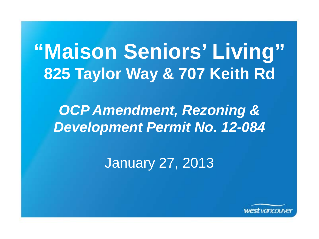# **"Maison Seniors' Living" 825 Taylor Way & 707 Keith Rd**

mendment, Rezoning & *OCP Amendment, Rezoning & Development Permit No. 12-084*

January 27, 2013

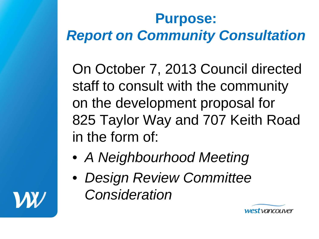## **Purpose:** *Report on Community Consultation*

On October 7, 2013 Council directed staff to consult with the community on the development proposal for 825 Taylor Way and 707 Keith Road in the form of:

- *A Neighbourhood Meeting*
- *Design Review Committee Consideration*



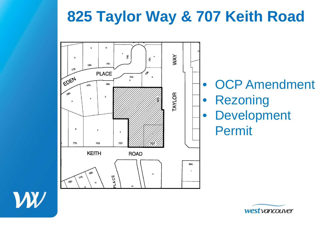## **825 Taylor Way & 707 Keith Road**





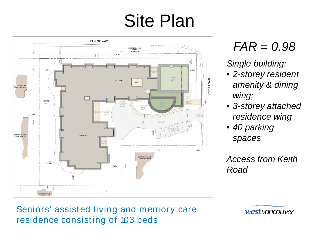# Site Plan



*FAR = 0.98*

*Single building:*

- *2-storey resident amenity & dining wing;*
- *3-storey attached residence wing*
- *40 parking spaces*

*Access from Keith Road*

Seniors' assisted living and memory care residence consisting of 103 beds

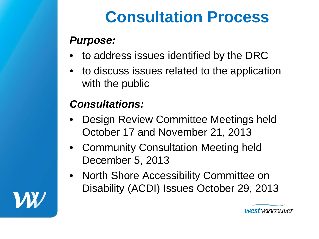# **Consultation Process**

### *Purpose:*

- to address issues identified by the DRC
- to discuss issues related to the application with the public

### *Consultations:*

- Design Review Committee Meetings held October 17 and November 21, 2013
- Community Consultation Meeting held December 5, 2013
- North Shore Accessibility Committee on Disability (ACDI) Issues October 29, 2013



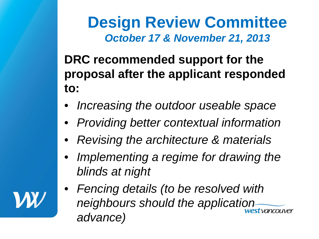**Design Review Committee** *October 17 & November 21, 2013*

**DRC recommended support for the proposal after the applicant responded to:**

- *Increasing the outdoor useable space*
- *Providing better contextual information*
- *Revising the architecture & materials*
- *Implementing a regime for drawing the blinds at night*
- *Fencing details (to be resolved with neighbours should the application advance)*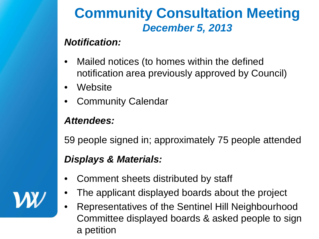## **Community Consultation Meeting** *December 5, 2013*

#### *Notification:*

- Mailed notices (to homes within the defined notification area previously approved by Council)
- **Website**
- Community Calendar

#### *Attendees:*

59 people signed in; approximately 75 people attended

#### *Displays & Materials:*

- Comment sheets distributed by staff
- The applicant displayed boards about the project
- Representatives of the Sentinel Hill Neighbourhood Committee displayed boards & asked people to sign a petition

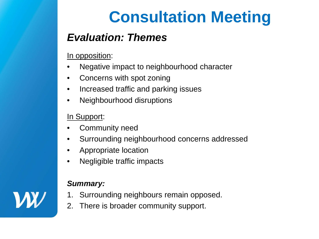# **Consultation Meeting**

### *Evaluation: Themes*

In opposition:

- Negative impact to neighbourhood character
- Concerns with spot zoning
- Increased traffic and parking issues
- Neighbourhood disruptions

In Support:

- Community need
- Surrounding neighbourhood concerns addressed
- Appropriate location
- Negligible traffic impacts

#### *Summary:*

- 1. Surrounding neighbours remain opposed.
- 2. There is broader community support.